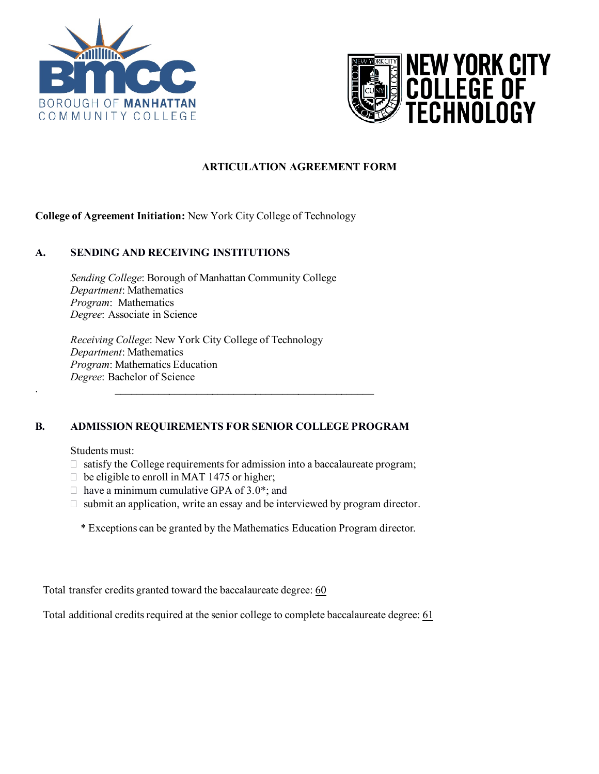



# **ARTICULATION AGREEMENT FORM**

# **College of Agreement Initiation:** New York City College of Technology

### **A. SENDING AND RECEIVING INSTITUTIONS**

*Sending College*: Borough of Manhattan Community College *Department*: Mathematics *Program*: Mathematics *Degree*: Associate in Science

*Receiving College*: New York City College of Technology *Department*: Mathematics *Program*: Mathematics Education *Degree*: Bachelor of Science

.  $\blacksquare$  .  $\blacksquare$  .  $\blacksquare$  .  $\blacksquare$  .  $\blacksquare$  .  $\blacksquare$  .  $\blacksquare$  .  $\blacksquare$  .  $\blacksquare$  .  $\blacksquare$  .  $\blacksquare$  .  $\blacksquare$  .  $\blacksquare$ 

# **B. ADMISSION REQUIREMENTS FOR SENIOR COLLEGE PROGRAM**

#### Students must:

- $\Box$  satisfy the College requirements for admission into a baccalaureate program;
- $\Box$  be eligible to enroll in MAT 1475 or higher;
- $\Box$  have a minimum cumulative GPA of 3.0\*; and
- $\Box$  submit an application, write an essay and be interviewed by program director.
	- \* Exceptions can be granted by the Mathematics Education Program director.

Total transfer credits granted toward the baccalaureate degree: 60

Total additional credits required at the senior college to complete baccalaureate degree: 61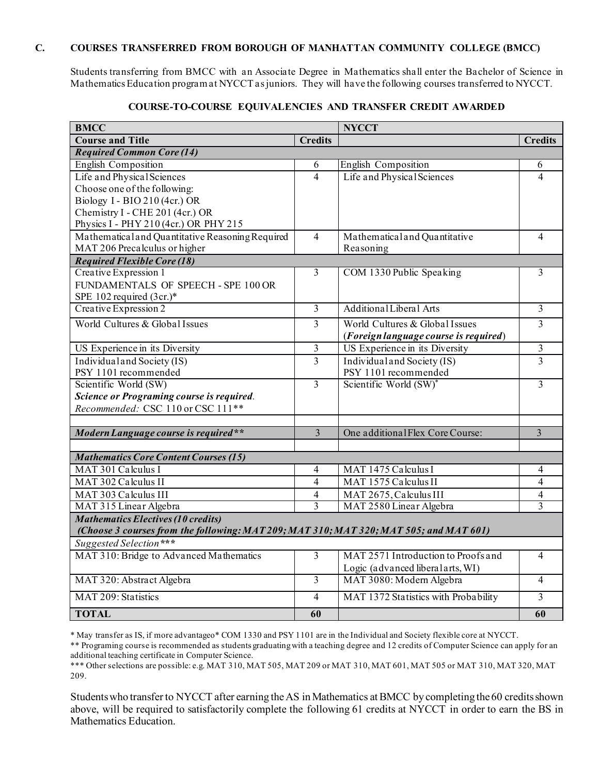## **C. COURSES TRANSFERRED FROM BOROUGH OF MANHATTAN COMMUNITY COLLEGE (BMCC)**

Students transferring from BMCC with an Associate Degree in Mathematics shall enter the Bachelor of Science in Mathematics Education program at NYCCT as juniors. They will have the following courses transferred to NYCCT.

| <b>BMCC</b>                                                                            |                | <b>NYCCT</b>                          |                |  |
|----------------------------------------------------------------------------------------|----------------|---------------------------------------|----------------|--|
| <b>Course and Title</b>                                                                | <b>Credits</b> |                                       | <b>Credits</b> |  |
| <b>Required Common Core (14)</b>                                                       |                |                                       |                |  |
| <b>English Composition</b>                                                             | 6              | <b>English Composition</b>            | 6              |  |
| Life and Physical Sciences                                                             | $\overline{4}$ | Life and Physical Sciences            | 4              |  |
| Choose one of the following:                                                           |                |                                       |                |  |
| Biology I - BIO 210 (4cr.) OR                                                          |                |                                       |                |  |
| Chemistry I - CHE 201 (4cr.) OR                                                        |                |                                       |                |  |
| Physics I - PHY 210 (4cr.) OR PHY 215                                                  |                |                                       |                |  |
| Mathematical and Quantitative Reasoning Required                                       | $\overline{4}$ | Mathematical and Quantitative         | 4              |  |
| MAT 206 Precalculus or higher                                                          |                | Reasoning                             |                |  |
| <b>Required Flexible Core (18)</b>                                                     |                |                                       |                |  |
| Creative Expression 1                                                                  | 3              | COM 1330 Public Speaking              | 3              |  |
| FUNDAMENTALS OF SPEECH - SPE 100 OR                                                    |                |                                       |                |  |
| SPE 102 required (3cr.)*                                                               |                |                                       |                |  |
| Creative Expression 2                                                                  | $\overline{3}$ | Additional Liberal Arts               | $\overline{3}$ |  |
| World Cultures & Global Issues                                                         | $\overline{3}$ | World Cultures & Global Issues        | 3              |  |
|                                                                                        |                | (Foreign language course is required) |                |  |
| US Experience in its Diversity                                                         | 3              | US Experience in its Diversity        | 3              |  |
| Individual and Society (IS)                                                            | $\overline{3}$ | Individual and Society (IS)           | 3              |  |
| PSY 1101 recommended                                                                   |                | PSY 1101 recommended                  |                |  |
| Scientific World (SW)                                                                  | $\overline{3}$ | Scientific World (SW)*                | 3              |  |
| Science or Programing course is required.                                              |                |                                       |                |  |
| Recommended: CSC 110 or CSC 111**                                                      |                |                                       |                |  |
|                                                                                        |                |                                       |                |  |
| Modern Language course is required**                                                   | $\overline{3}$ | One additional Flex Core Course:      | 3              |  |
|                                                                                        |                |                                       |                |  |
| <b>Mathematics Core Content Courses (15)</b>                                           |                |                                       |                |  |
| MAT 301 Calculus I                                                                     | $\overline{4}$ | MAT 1475 Calculus I                   | 4              |  |
| MAT 302 Calculus II                                                                    | $\overline{4}$ | MAT 1575 Calculus II                  | $\overline{4}$ |  |
| MAT 303 Calculus III                                                                   | $\overline{4}$ | MAT 2675, Calculus III                | 4              |  |
| MAT 315 Linear Algebra                                                                 | 3              | MAT 2580 Linear Algebra               | 3              |  |
| <b>Mathematics Electives (10 credits)</b>                                              |                |                                       |                |  |
| (Choose 3 courses from the following: MAT 209; MAT 310; MAT 320; MAT 505; and MAT 601) |                |                                       |                |  |
| Suggested Selection***                                                                 |                |                                       |                |  |
| MAT 310: Bridge to Advanced Mathematics                                                | $\overline{3}$ | MAT 2571 Introduction to Proofs and   | $\overline{4}$ |  |
|                                                                                        |                | Logic (advanced liberal arts, WI)     |                |  |
| MAT 320: Abstract Algebra                                                              | $\overline{3}$ | MAT 3080: Modern Algebra              | $\overline{4}$ |  |
| MAT 209: Statistics                                                                    | $\overline{4}$ | MAT 1372 Statistics with Probability  | $\overline{3}$ |  |
| <b>TOTAL</b>                                                                           | 60             |                                       | 60             |  |

### **COURSE-TO-COURSE EQUIVALENCIES AND TRANSFER CREDIT AWARDED**

\* May transfer as IS, if more advantageo\* COM 1330 and PSY 1101 are in the Individual and Society flexible core at NYCCT.

\*\* Programing course is recommended as students graduating with a teaching degree and 12 credits of Computer Science can apply for an additional teaching certificate in Computer Science.

\*\*\* Other selections are possible: e.g. MAT 310, MAT 505, MAT 209 or MAT 310, MAT 601, MAT 505 or MAT 310, MAT 320, MAT 209.

Students who transfer to NYCCT after earning the AS inMathematics at BMCC by completing the 60 credits shown above, will be required to satisfactorily complete the following 61 credits at NYCCT in order to earn the BS in Mathematics Education.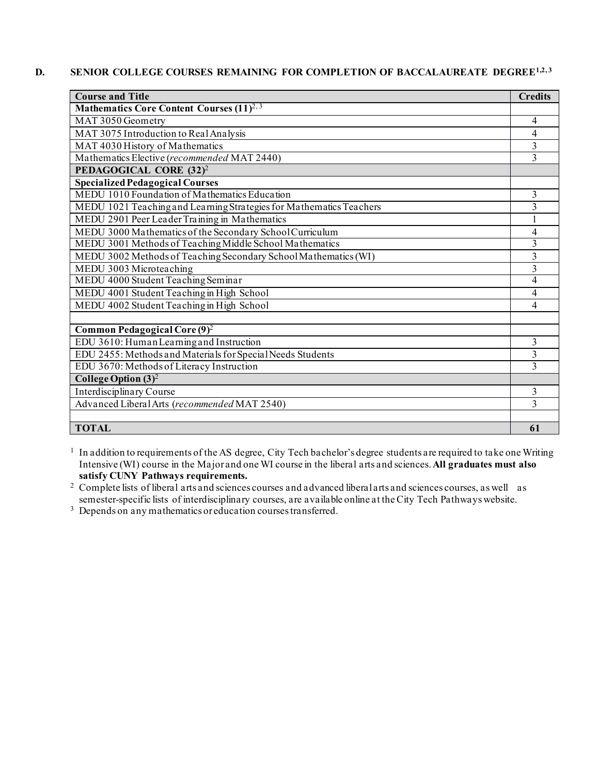### **D.** SENIOR COLLEGE COURSES REMAINING FOR COMPLETION OF BACCALAUREATE DEGREE<sup>1,2,3</sup>

| <b>Course and Title</b>                                             |    |  |
|---------------------------------------------------------------------|----|--|
| Mathematics Core Content Courses (11) <sup>2, 3</sup>               |    |  |
| MAT 3050 Geometry                                                   | 4  |  |
| MAT 3075 Introduction to Real Analysis                              |    |  |
| MAT 4030 History of Mathematics                                     |    |  |
| Mathematics Elective (recommended MAT 2440)                         |    |  |
| PEDAGOGICAL CORE (32) <sup>2</sup>                                  |    |  |
| Specialized Pedagogical Courses                                     |    |  |
| MEDU 1010 Foundation of Mathematics Education                       | 3  |  |
| MEDU 1021 Teaching and Learning Strategies for Mathematics Teachers |    |  |
| MEDU 2901 Peer Leader Training in Mathematics                       |    |  |
| MEDU 3000 Mathematics of the Secondary School Curriculum            |    |  |
| MEDU 3001 Methods of Teaching Middle School Mathematics             |    |  |
| MEDU 3002 Methods of Teaching Secondary School Mathematics (WI)     |    |  |
| MEDU 3003 Microteaching                                             |    |  |
| MEDU 4000 Student Teaching Seminar                                  |    |  |
| MEDU 4001 Student Teaching in High School                           |    |  |
| MEDU 4002 Student Teaching in High School                           |    |  |
|                                                                     |    |  |
| Common Pedagogical Core (9) <sup>2</sup>                            |    |  |
| EDU 3610: Human Learning and Instruction                            | 3  |  |
| EDU 2455: Methods and Materials for Special Needs Students          |    |  |
| EDU 3670: Methods of Literacy Instruction                           |    |  |
| College Option $(3)^2$                                              |    |  |
| Interdisciplinary Course                                            | 3  |  |
| Advanced Liberal Arts (recommended MAT 2540)                        |    |  |
|                                                                     |    |  |
| <b>TOTAL</b>                                                        | 61 |  |

<sup>1</sup> In addition to requirements of the AS degree, City Tech bachelor's degree students are required to take one Writing Intensive (WI) course in the Major and one WI course in the liberal arts and sciences. **All graduates must also satisfy CUNY Pathways requirements.**

<sup>2</sup> Complete lists of liberal arts and sciences courses and advanced liberal arts and sciences courses, as well as semester-specific lists of interdisciplinary courses, are available online at the City Tech Pathways website.<br><sup>3</sup> Depends on any mathematics or education courses transferred.